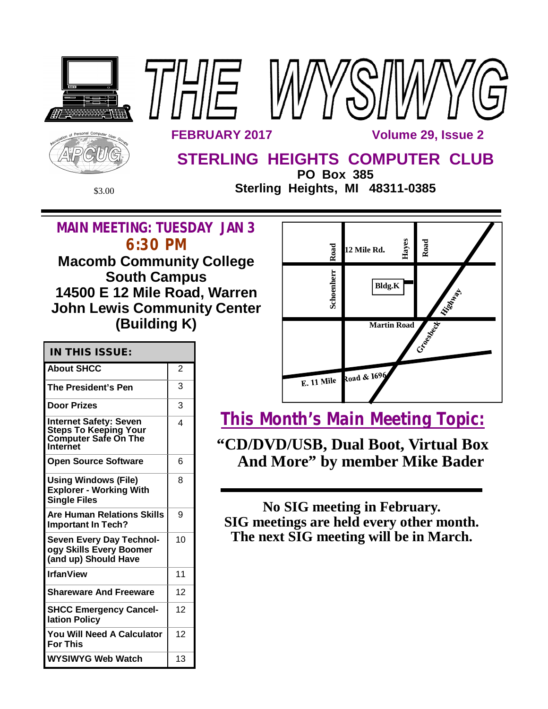

**South Campus 14500 E 12 Mile Road, Warren John Lewis Community Center (Building K)**

| $IN$ THIS ISSIIE. |  |  |
|-------------------|--|--|

| <b>IN THIS ISSUE:</b>                                                                      |                |
|--------------------------------------------------------------------------------------------|----------------|
| <b>About SHCC</b>                                                                          | $\overline{2}$ |
| The President's Pen                                                                        | 3              |
| <b>Door Prizes</b>                                                                         | 3              |
| <b>Internet Safety: Seven</b><br>Steps To Keeping Your<br>Computer Safe On The<br>Internet | 4              |
| <b>Open Source Software</b>                                                                | 6              |
| <b>Using Windows (File)</b><br><b>Explorer - Working With</b><br><b>Single Files</b>       | 8              |
| <b>Are Human Relations Skills</b><br><b>Important In Tech?</b>                             | 9              |
| <b>Seven Every Day Technol-</b><br>ogy Skills Every Boomer<br>(and up) Should Have         | 10             |
| <b>IrfanView</b>                                                                           | 11             |
| <b>Shareware And Freeware</b>                                                              | 12             |
| <b>SHCC Emergency Cancel-</b><br>lation Policy                                             | 12             |
| You Will Need A Calculator<br><b>For This</b>                                              | 12             |
| <b>WYSIWYG Web Watch</b>                                                                   | 13             |



**This Month's Main Meeting Topic:**

**"CD/DVD/USB, Dual Boot, Virtual Box And More" by member Mike Bader**

**No SIG meeting in February. SIG meetings are held every other month. The next SIG meeting will be in March.**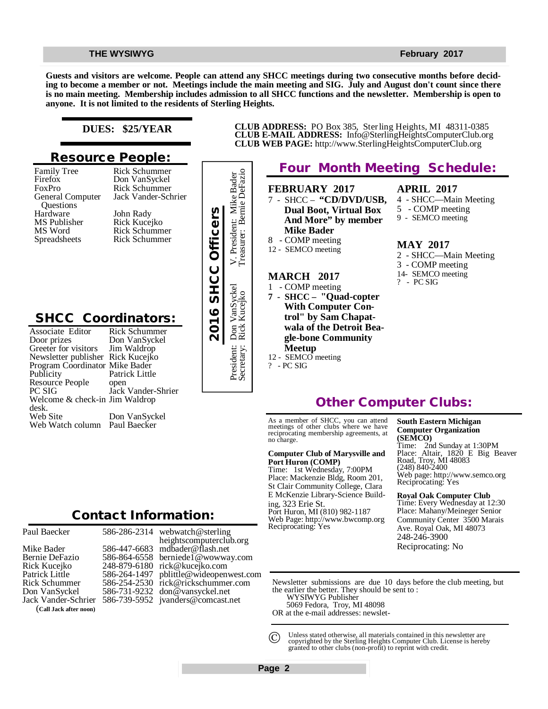### **THE WYSIWYG FEBRUARY 2017**

**Guests and visitors are welcome. People can attend any SHCC meetings during two consecutive months before deciding to become a member or not. Meetings include the main meeting and SIG. July and August don't count since there is no main meeting. Membership includes admission to all SHCC functions and the newsletter. Membership is open to anyone. It is not limited to the residents of Sterling Heights.**

### **DUES: \$25/YEAR**

## **Resource People:**

Family Tree Firefox FoxPro General Computer Questions Hardware MS Publisher MS Word Spreadsheets

Rick Schummer Jack Vander-Schrier John Rady Rick Kucejko Rick Schummer Rick Schummer

Rick Schummer Don VanSyckel

## **SHCC Coordinators:**

| Hardware<br>MS Publisher<br>MS Word<br>Spreadsheets                                                                                                                                                                                                                              | John Rady<br>Rick Kucejko<br><b>Rick Schummer</b><br><b>Rick Schummer</b>                                                      | 2016 SHCC Officers |
|----------------------------------------------------------------------------------------------------------------------------------------------------------------------------------------------------------------------------------------------------------------------------------|--------------------------------------------------------------------------------------------------------------------------------|--------------------|
| <b>SHCC Coordinators:</b><br>Associate Editor<br>Door prizes<br>Greeter for visitors<br>Newsletter publisher Rick Kucejko<br>Program Coordinator Mike Bader<br>Publicity<br>Resource People<br>PC SIG<br>Welcome & check-in Jim Waldrop<br>desk.<br>Web Site<br>Web Watch column | Rick Schummer<br>Don VanSyckel<br>Jim Waldrop<br>Patrick Little<br>open<br>Jack Vander-Shrier<br>Don VanSyckel<br>Paul Baecker |                    |
|                                                                                                                                                                                                                                                                                  | <b>Contact Information:</b>                                                                                                    |                    |

| Paul Baecker           |              |
|------------------------|--------------|
| Mike Bader             | ハーハーハーハーハーハー |
| Bernie DeFazio         |              |
| Rick Kucejko           |              |
| Patrick Little         |              |
| <b>Rick Schummer</b>   |              |
| Don VanSyckel          |              |
| Jack Vander-Schrier    |              |
| (Call Jack after noon) |              |

586-286-2314 586-447-6683 586-864-6558 248-879-6180 [rick@kucejko.com](mailto:rick@kucejko.com) 586-264-1497 [pblittle@wideopenwest.com](mailto:pblittle@wideopenwest.com) 586-254-2530 [rick@rickschummer.com](mailto:rick@rickschummer.com) 586-731-9232 [don@vansyckel.net](mailto:don@vansyckel.net) 586-739-5952 [jvanders@comcast.net](mailto:jvanders@comcast.net) webwatch@sterling heightscomputerclub.org [mdbader@flash.net](mailto:mdbader@flash.net) [berniede1@wowway.com](mailto:berniede1@wowway.com)



# **Four Month Meeting Schedule:**

**CLUB ADDRESS:** PO Box 385, Sterling Heights, MI 48311-0385 **CLUB E-MAIL ADDRESS:** [Info@SterlingHeightsComputerClub.org](mailto:Info@SterlingHeightsComputerClub.org) **CLUB WEB PAGE:** <http://www.SterlingHeightsComputerClub.org>

> **FEBRUARY 2017** 7 - SHCC – **"CD/DVD/USB, Dual Boot, Virtual Box And More" by member**

- 1 COMP meeting
- **7 SHCC "Quad-copter With Computer Control" by Sam Chapatwala of the Detroit Beagle-bone Community**  12 - SEMCO meeting

### **APRIL 2017**

- 4 SHCC—Main Meeting
- 5 COMP meeting
- 9 SEMCO meeting

### **MAY 2017**

- 2 SHCC—Main Meeting 3 - COMP meeting 14- SEMCO meeting
- ? PC SIG

# **Other Computer Clubs:**

As a member of SHCC, you can attend meetings of other clubs where we have reciprocating membership agreements, at no charge.

### **Computer Club of Marysville and Port Huron (COMP)**

Time: 1st Wednesday, 7:00PM Place: Mackenzie Bldg, Room 201, St Clair Community College, Clara E McKenzie Library-Science Building, 323 Erie St. Port Huron, MI (810) 982-1187 Web Page:<http://www.bwcomp.org> Reciprocating: Yes

### **South Eastern Michigan Computer Organization (SEMCO)**

Time: 2nd Sunday at 1:30PM Place: Altair, 1820 E Big Beaver Road, Troy, MI 48083 (248) 840-2400 Web page: <http://www.semco.org> Reciprocating: Yes

### **Royal Oak Computer Club**

Time: Every Wednesday at 12:30 Place: Mahany/Meineger Senior Community Center 3500 Marais Ave. Royal Oak, MI 48073 248-246-3900 Reciprocating: No

Newsletter submissions are due 10 days before the club meeting, but the earlier the better. They should be sent to :

WYSIWYG Publisher

5069 Fedora, Troy, MI 48098

OR at the e-mail addresses: newslet-

Unless stated otherwise, all materials contained in this newsletter are copyrighted by the Sterling Heights Computer Club. License is hereby granted to other clubs (non-profit) to reprint with credit.  $\odot$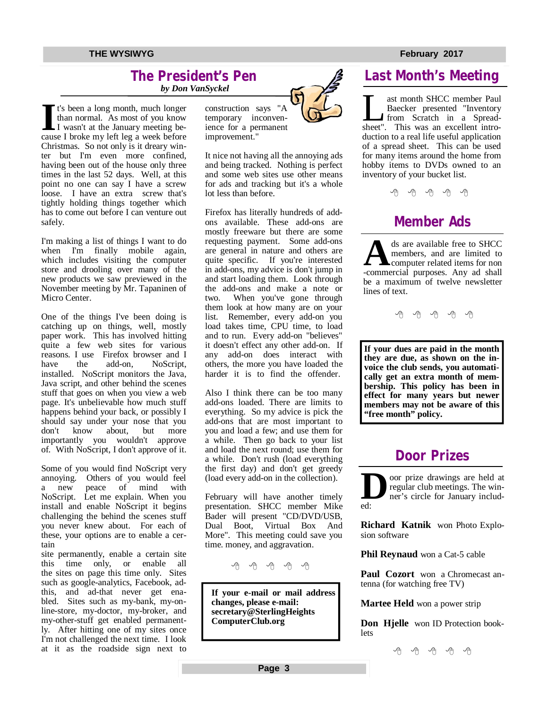### **The President's Pen**   *by Don VanSyckel*

I t's been a long month, much longer<br>than normal. As most of you know<br>I wasn't at the January meeting be-<br>cause I broke my left leg a week before t's been a long month, much longer than normal. As most of you know I wasn't at the January meeting be-Christmas. So not only is it dreary winter but I'm even more confined, having been out of the house only three times in the last 52 days. Well, at this point no one can say I have a screw loose. I have an extra screw that's tightly holding things together which has to come out before I can venture out safely.

I'm making a list of things I want to do when I'm finally mobile again, which includes visiting the computer store and drooling over many of the new products we saw previewed in the November meeting by Mr. Tapaninen of Micro Center.

One of the things I've been doing is catching up on things, well, mostly paper work. This has involved hitting quite a few web sites for various reasons. I use Firefox browser and I<br>have the add-on. NoScript. have the add-on, NoScript, installed. NoScript monitors the Java, Java script, and other behind the scenes stuff that goes on when you view a web page. It's unbelievable how much stuff happens behind your back, or possibly I should say under your nose that you don't know about, but more importantly you wouldn't approve of. With NoScript, I don't approve of it.

Some of you would find NoScript very annoying. Others of you would feel a new peace of mind with NoScript. Let me explain. When you install and enable NoScript it begins challenging the behind the scenes stuff you never knew about. For each of these, your options are to enable a certain

site permanently, enable a certain site this time only, or enable all the sites on page this time only. Sites such as google-analytics, Facebook, adthis, and ad-that never get enabled. Sites such as my-bank, my-online-store, my-doctor, my-broker, and my-other-stuff get enabled permanently. After hitting one of my sites once I'm not challenged the next time. I look at it as the roadside sign next to construction says "A temporary inconvenience for a permanent improvement."

It nice not having all the annoying ads and being tracked. Nothing is perfect and some web sites use other means for ads and tracking but it's a whole lot less than before.

Firefox has literally hundreds of addons available. These add-ons are mostly freeware but there are some requesting payment. Some add-ons are general in nature and others are quite specific. If you're interested in add-ons, my advice is don't jump in and start loading them. Look through the add-ons and make a note or two. When you've gone through them look at how many are on your list. Remember, every add-on you load takes time, CPU time, to load and to run. Every add-on "believes" it doesn't effect any other add-on. If any add-on does interact with others, the more you have loaded the harder it is to find the offender.

Also I think there can be too many add-ons loaded. There are limits to everything. So my advice is pick the add-ons that are most important to you and load a few; and use them for a while. Then go back to your list and load the next round; use them for a while. Don't rush (load everything the first day) and don't get greedy (load every add-on in the collection).

February will have another timely presentation. SHCC member Mike Bader will present "CD/DVD/USB, Dual Boot, Virtual Box And More". This meeting could save you time. money, and aggravation.

A A A A A

**If your e-mail or mail address changes, please e-mail: secretary@SterlingHeights ComputerClub.org**



# **Last Month's Meeting**

Let month SHCC member Paul<br>Baecker presented "Inventory<br>from Scratch in a Spread-<br>sheet". This was an excellent introast month SHCC member Paul Baecker presented "Inventory from Scratch in a Spreadduction to a real life useful application of a spread sheet. This can be used for many items around the home from hobby items to DVDs owned to an inventory of your bucket list.

用 用 用 用

# **Member Ads**

ds are available free to SHCC members, and are limited to computer related items for non-commercial purposes. Any ad shall ds are available free to SHCC members, and are limited to computer related items for non be a maximum of twelve newsletter lines of text.

e e e e e

**If your dues are paid in the month they are due, as shown on the invoice the club sends, you automatically get an extra month of membership. This policy has been in effect for many years but newer members may not be aware of this "free month" policy.**

# **Door Prizes**

**D** oor prize drawings are held at regular club meetings. The winner's circle for January included:

**Richard Katnik** won Photo Explosion software

**Phil Reynaud** won a Cat-5 cable

**Paul Cozort** won a Chromecast antenna (for watching free TV)

**Martee Held** won a power strip

**Don Hjelle** won ID Protection booklets

有 有 有 有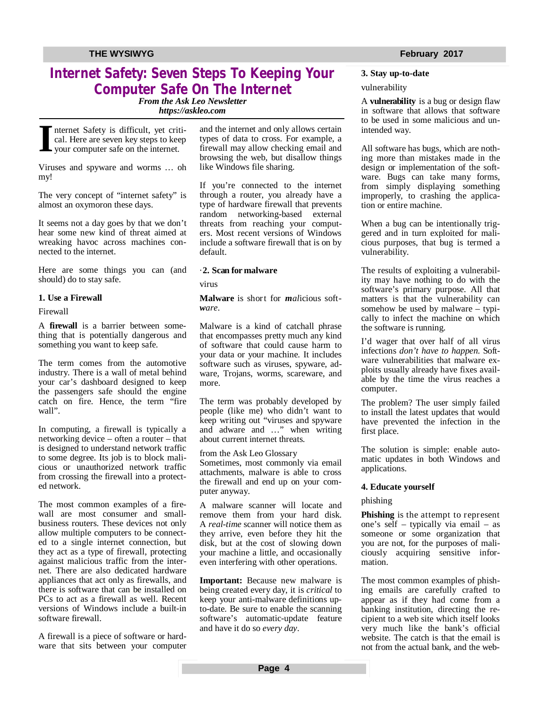# **Internet Safety: Seven Steps To Keeping Your Computer Safe On The Internet**

*From the Ask Leo Newsletter <https://askleo.com>*

**I** nternet Safety is difficult, yet critical. Here are seven key steps to keep your computer safe on the internet.

Viruses and spyware and worms … oh my!

The very concept of "internet safety" is almost an oxymoron these days.

It seems not a day goes by that we don't hear some new kind of threat aimed at wreaking havoc across machines connected to the internet.

Here are some things you can (and should) do to stay safe.

### **1. Use a Firewall**

### Firewall

A **firewall** is a barrier between something that is potentially dangerous and something you want to keep safe.

The term comes from the automotive industry. There is a wall of metal behind your car's dashboard designed to keep the passengers safe should the engine catch on fire. Hence, the term "fire wall".

In computing, a firewall is typically a networking device – often a router – that is designed to understand network traffic to some degree. Its job is to block malicious or unauthorized network traffic from crossing the firewall into a protected network.

The most common examples of a firewall are most consumer and smallbusiness routers. These devices not only allow multiple computers to be connected to a single internet connection, but they act as a type of firewall, protecting against malicious traffic from the internet. There are also dedicated hardware appliances that act only as firewalls, and there is software that can be installed on PCs to act as a firewall as well. Recent versions of Windows include a built-in software firewall.

A firewall is a piece of software or hardware that sits between your computer and the internet and only allows certain types of data to cross. For example, a firewall may allow checking email and browsing the web, but disallow things like Windows file sharing.

If you're connected to the internet through a router, you already have a type of hardware firewall that prevents random networking-based external threats from reaching your computers. Most recent versions of Windows include a software firewall that is on by default.

### ·**2. Scan for malware**

virus

**Malware** is short for *mal*icious soft*ware*.

Malware is a kind of catchall phrase that encompasses pretty much any kind of software that could cause harm to your data or your machine. It includes software such as viruses, spyware, adware, Trojans, worms, scareware, and more.

The term was probably developed by people (like me) who didn't want to keep writing out "viruses and spyware and adware and …" when writing about current internet threats.

from the Ask Leo Glossary Sometimes, most commonly via email attachments, malware is able to cross the firewall and end up on your computer anyway.

A malware scanner will locate and remove them from your hard disk. A *real-time* scanner will notice them as they arrive, even before they hit the disk, but at the cost of slowing down your machine a little, and occasionally even interfering with other operations.

**Important:** Because new malware is being created every day, it is *critical* to keep your anti-malware definitions upto-date. Be sure to enable the scanning software's automatic-update feature and have it do so *every day*.

### vulnerability

A **vulnerability** is a bug or design flaw in software that allows that software to be used in some malicious and unintended way.

All software has bugs, which are nothing more than mistakes made in the design or implementation of the software. Bugs can take many forms, from simply displaying something improperly, to crashing the application or entire machine.

When a bug can be intentionally triggered and in turn exploited for malicious purposes, that bug is termed a vulnerability.

The results of exploiting a vulnerability may have nothing to do with the software's primary purpose. All that matters is that the vulnerability can somehow be used by malware – typically to infect the machine on which the software is running.

I'd wager that over half of all virus infections *don't have to happen*. Software vulnerabilities that malware exploits usually already have fixes available by the time the virus reaches a computer.

The problem? The user simply failed to install the latest updates that would have prevented the infection in the first place.

The solution is simple: enable automatic updates in both Windows and applications.

### **4. Educate yourself**

### phishing

**Phishing** is the attempt to represent one's self – typically via email – as someone or some organization that you are not, for the purposes of maliciously acquiring sensitive information.

The most common examples of phishing emails are carefully crafted to appear as if they had come from a banking institution, directing the recipient to a web site which itself looks very much like the bank's official website. The catch is that the email is not from the actual bank, and the web-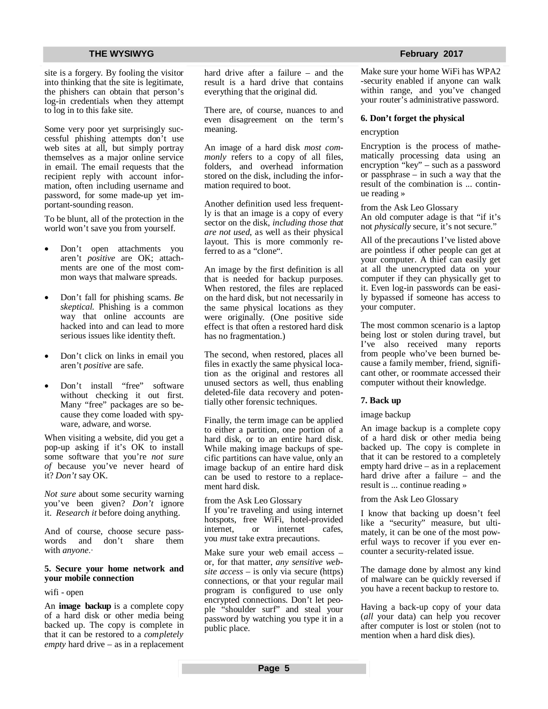site is a forgery. By fooling the visitor into thinking that the site is legitimate, the phishers can obtain that person's log-in credentials when they attempt to log in to this fake site.

Some very poor yet surprisingly successful phishing attempts don't use web sites at all, but simply portray themselves as a major online service in email. The email requests that the recipient reply with account information, often including username and password, for some made-up yet important-sounding reason.

To be blunt, all of the protection in the world won't save you from yourself.

- Don't open attachments you aren't *positive* are OK; attachments are one of the most common ways that malware spreads.
- Don't fall for phishing scams. *Be skeptical.* Phishing is a common way that online accounts are hacked into and can lead to more serious issues like identity theft.
- Don't click on links in email you aren't *positive* are safe.
- Don't install "free" software without checking it out first. Many "free" packages are so because they come loaded with spyware, adware, and worse.

When visiting a website, did you get a pop-up asking if it's OK to install some software that you're *not sure of* because you've never heard of it? *Don't* say OK.

*Not sure* about some security warning you've been given? *Don't* ignore it. *Research it* before doing anything.

And of course, choose secure pass-<br>words and don't share them words and don't share them with *anyone*.∙

### **5. Secure your home network and your mobile connection**

wifi - open

An **image backup** is a complete copy of a hard disk or other media being backed up. The copy is complete in that it can be restored to a *completely empty* hard drive – as in a replacement hard drive after a failure – and the result is a hard drive that contains everything that the original did.

There are, of course, nuances to and even disagreement on the term's meaning.

An image of a hard disk *most commonly* refers to a copy of all files, folders, and overhead information stored on the disk, including the information required to boot.

Another definition used less frequently is that an image is a copy of every sector on the disk, *including those that are not used*, as well as their physical layout. This is more commonly referred to as a "clone".

An image by the first definition is all that is needed for backup purposes. When restored, the files are replaced on the hard disk, but not necessarily in the same physical locations as they were originally. (One positive side effect is that often a restored hard disk has no fragmentation.)

The second, when restored, places all files in exactly the same physical location as the original and restores all unused sectors as well, thus enabling deleted-file data recovery and potentially other forensic techniques.

Finally, the term image can be applied to either a partition, one portion of a hard disk, or to an entire hard disk. While making image backups of specific partitions can have value, only an image backup of an entire hard disk can be used to restore to a replacement hard disk.

from the Ask Leo Glossary If you're traveling and using internet hotspots, free WiFi, hotel-provided internet, or internet cafes, you *must* take extra precautions.

Make sure your web email access – or, for that matter, *any sensitive website access* – is only via secure (https) connections, or that your regular mail program is configured to use only encrypted connections. Don't let people "shoulder surf" and steal your password by watching you type it in a public place.

Make sure your home WiFi has WPA2 -security enabled if anyone can walk within range, and you've changed your router's administrative password.

### **6. Don't forget the physical**

### encryption

Encryption is the process of mathematically processing data using an encryption "key" – such as a password or passphrase – in such a way that the result of the combination is ... continue reading »

from the Ask Leo Glossary An old computer adage is that "if it's not *physically* secure, it's not secure."

All of the precautions I've listed above are pointless if other people can get at your computer. A thief can easily get at all the unencrypted data on your computer if they can physically get to it. Even log-in passwords can be easily bypassed if someone has access to your computer.

The most common scenario is a laptop being lost or stolen during travel, but I've also received many reports from people who've been burned because a family member, friend, significant other, or roommate accessed their computer without their knowledge.

### **7. Back up**

### image backup

An image backup is a complete copy of a hard disk or other media being backed up. The copy is complete in that it can be restored to a completely empty hard drive – as in a replacement hard drive after a failure – and the result is ... continue reading »

### from the Ask Leo Glossary

I know that backing up doesn't feel like a "security" measure, but ultimately, it can be one of the most powerful ways to recover if you ever encounter a security-related issue.

The damage done by almost any kind of malware can be quickly reversed if you have a recent backup to restore to.

Having a back-up copy of your data (*all* your data) can help you recover after computer is lost or stolen (not to mention when a hard disk dies).

### **THE WYSIWYG FEBRUARY CONSULTER STATES AND THE WYSIWYG FEBRUARY 2017**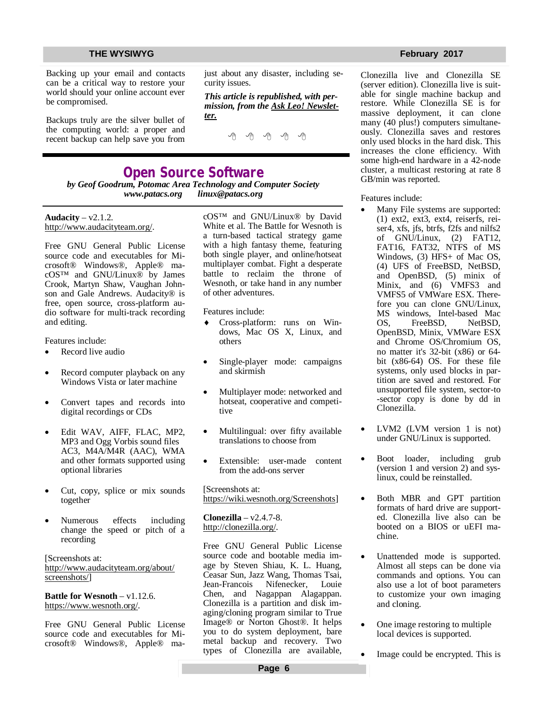Backing up your email and contacts can be a critical way to restore your world should your online account ever be compromised.

Backups truly are the silver bullet of the computing world: a proper and recent backup can help save you from

just about any disaster, including security issues.

*This article is republished, with permission, from the Ask Leo! Newsletter.* 

## **Open Source Software**

*by Geof Goodrum, Potomac Area Technology and Computer Society [www.patacs.org](http://www.patacs.org) [linux@patacs.org](mailto:linux@patacs.org)*

Audacity –  $v2.1.2$ . <http://www.audacityteam.org/.>

Free GNU General Public License source code and executables for Microsoft® Windows®, Apple® macOS™ and GNU/Linux® by James Crook, Martyn Shaw, Vaughan Johnson and Gale Andrews. Audacity® is free, open source, cross-platform audio software for multi-track recording and editing.

Features include:

- Record live audio
- Record computer playback on any Windows Vista or later machine
- Convert tapes and records into digital recordings or CDs
- Edit WAV, AIFF, FLAC, MP2, MP3 and Ogg Vorbis sound files AC3, M4A/M4R (AAC), WMA and other formats supported using optional libraries
- Cut, copy, splice or mix sounds together
- Numerous effects including change the speed or pitch of a recording

[Screenshots at: <http://www.audacityteam.org/about/> screenshots/]

**Battle for Wesnoth** – v1.12.6. <https://www.wesnoth.org/.>

Free GNU General Public License source code and executables for Microsoft® Windows®, Apple® macOS™ and GNU/Linux® by David White et al. The Battle for Wesnoth is a turn-based tactical strategy game with a high fantasy theme, featuring both single player, and online/hotseat multiplayer combat. Fight a desperate battle to reclaim the throne of Wesnoth, or take hand in any number of other adventures.

Features include:

- Cross-platform: runs on Windows, Mac OS X, Linux, and others
- Single-player mode: campaigns and skirmish
- Multiplayer mode: networked and hotseat, cooperative and competitive
- Multilingual: over fifty available translations to choose from
- Extensible: user-made content from the add-ons server

[Screenshots at: [https://wiki.wesnoth.org/Screenshots\]](https://wiki.wesnoth.org/Screenshots)

**Clonezilla** – v2.4.7-8. <http://clonezilla.org/.>

Free GNU General Public License source code and bootable media image by Steven Shiau, K. L. Huang, Ceasar Sun, Jazz Wang, Thomas Tsai, Jean-Francois Nifenecker, Louie Chen, and Nagappan Alagappan. Clonezilla is a partition and disk imaging/cloning program similar to True Image® or Norton Ghost®. It helps you to do system deployment, bare metal backup and recovery. Two types of Clonezilla are available,

Clonezilla live and Clonezilla SE (server edition). Clonezilla live is suitable for single machine backup and restore. While Clonezilla SE is for massive deployment, it can clone many (40 plus!) computers simultaneously. Clonezilla saves and restores only used blocks in the hard disk. This increases the clone efficiency. With some high-end hardware in a 42-node cluster, a multicast restoring at rate 8 GB/min was reported.

Features include:

- Many File systems are supported: (1) ext2, ext3, ext4, reiserfs, reiser4, xfs, jfs, btrfs, f2fs and nilfs2 of GNU/Linux, (2) FAT12, FAT16, FAT32, NTFS of MS Windows, (3) HFS+ of Mac OS, (4) UFS of FreeBSD, NetBSD, and OpenBSD, (5) minix of Minix, and (6) VMFS3 and VMFS5 of VMWare ESX. Therefore you can clone GNU/Linux, MS windows, Intel-based Mac<br>OS. FreeBSD. NetBSD. OS, FreeBSD, NetBSD, OpenBSD, Minix, VMWare ESX and Chrome OS/Chromium OS, no matter it's 32-bit (x86) or 64 bit (x86-64) OS. For these file systems, only used blocks in partition are saved and restored. For unsupported file system, sector-to -sector copy is done by dd in Clonezilla.
- LVM2 (LVM version 1 is not) under GNU/Linux is supported.
- Boot loader, including grub (version 1 and version 2) and syslinux, could be reinstalled.
- Both MBR and GPT partition formats of hard drive are supported. Clonezilla live also can be booted on a BIOS or uEFI machine.
- Unattended mode is supported. Almost all steps can be done via commands and options. You can also use a lot of boot parameters to customize your own imaging and cloning.
- One image restoring to multiple local devices is supported.
- Image could be encrypted. This is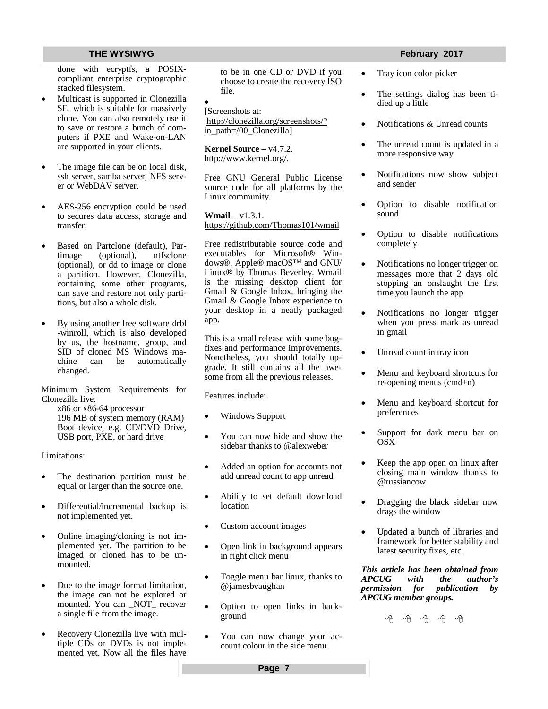done with ecryptfs, a POSIXcompliant enterprise cryptographic stacked filesystem.

- Multicast is supported in Clonezilla SE, which is suitable for massively clone. You can also remotely use it to save or restore a bunch of computers if PXE and Wake-on-LAN are supported in your clients.
- The image file can be on local disk, ssh server, samba server, NFS server or WebDAV server.
- AES-256 encryption could be used to secures data access, storage and transfer.
- Based on Partclone (default), Partimage (optional), ntfsclone (optional), or dd to image or clone a partition. However, Clonezilla, containing some other programs, can save and restore not only partitions, but also a whole disk.
- By using another free software drbl -winroll, which is also developed by us, the hostname, group, and SID of cloned MS Windows machine can be automatically changed.

Minimum System Requirements for Clonezilla live:

x86 or x86-64 processor 196 MB of system memory (RAM) Boot device, e.g. CD/DVD Drive, USB port, PXE, or hard drive

Limitations:

- The destination partition must be equal or larger than the source one.
- Differential/incremental backup is not implemented yet.
- Online imaging/cloning is not implemented yet. The partition to be imaged or cloned has to be unmounted.
- Due to the image format limitation, the image can not be explored or mounted. You can \_NOT\_ recover a single file from the image.
- Recovery Clonezilla live with multiple CDs or DVDs is not implemented yet. Now all the files have

to be in one CD or DVD if you choose to create the recovery ISO file.

 $\bullet$ [Screenshots at: <http://clonezilla.org/screenshots/?> in\_path=/00\_Clonezilla]

**Kernel Source** – v4.7.2. <http://www.kernel.org/.>

Free GNU General Public License source code for all platforms by the Linux community.

**Wmail** – v1.3.1. <https://github.com/Thomas101/wmail>

Free redistributable source code and executables for Microsoft® Windows®, Apple® macOS™ and GNU/ Linux® by Thomas Beverley. Wmail is the missing desktop client for Gmail & Google Inbox, bringing the Gmail & Google Inbox experience to your desktop in a neatly packaged app.

This is a small release with some bugfixes and performance improvements. Nonetheless, you should totally upgrade. It still contains all the awesome from all the previous releases.

Features include:

- Windows Support
- You can now hide and show the sidebar thanks to @alexweber
- Added an option for accounts not add unread count to app unread
- Ability to set default download location
- Custom account images
- Open link in background appears in right click menu
- Toggle menu bar linux, thanks to @jamesbvaughan
- Option to open links in background
- You can now change your account colour in the side menu

- Tray icon color picker
- The settings dialog has been tidied up a little
- Notifications & Unread counts
- The unread count is updated in a more responsive way
- Notifications now show subject and sender
- Option to disable notification sound
- Option to disable notifications completely
- Notifications no longer trigger on messages more that 2 days old stopping an onslaught the first time you launch the app
- Notifications no longer trigger when you press mark as unread in gmail
- Unread count in tray icon
- Menu and keyboard shortcuts for re-opening menus (cmd+n)
- Menu and keyboard shortcut for preferences
- Support for dark menu bar on **OSX**
- Keep the app open on linux after closing main window thanks to @russiancow
- Dragging the black sidebar now drags the window
- Updated a bunch of libraries and framework for better stability and latest security fixes, etc.

*This article has been obtained from dhe author's*<br>*publication by permission for APCUG member groups.*

A A A A A

**Page 7**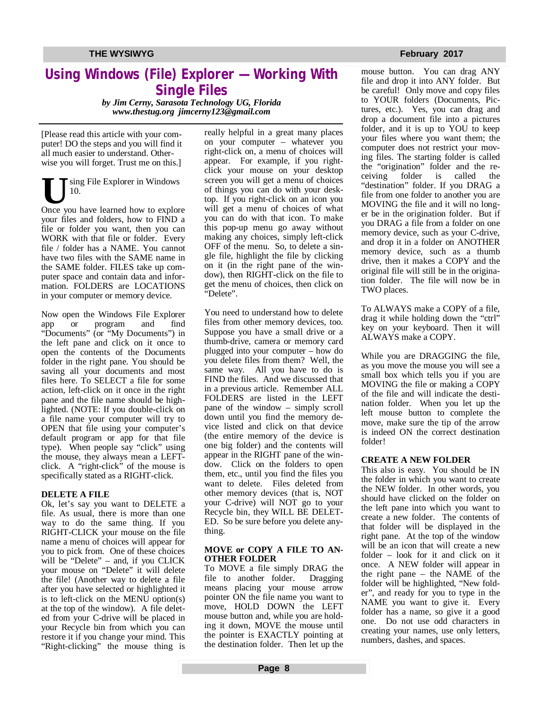## **Using Windows (File) Explorer — Working With Single Files**

*by Jim Cerny, Sarasota Technology UG, Florida www.thestug.org [jimcerny123@gmail.com](mailto:jimcerny123@gmail.com)* 

[Please read this article with your computer! DO the steps and you will find it all much easier to understand. Otherwise you will forget. Trust me on this.]

US ing File Explorer in Windows<br>Once you have learned how to explore sing File Explorer in Windows 10. your files and folders, how to FIND a file or folder you want, then you can WORK with that file or folder. Every file / folder has a NAME. You cannot have two files with the SAME name in the SAME folder. FILES take up computer space and contain data and information. FOLDERS are LOCATIONS in your computer or memory device.

Now open the Windows File Explorer app or program and find "Documents" (or "My Documents") in the left pane and click on it once to open the contents of the Documents folder in the right pane. You should be saving all your documents and most files here. To SELECT a file for some action, left-click on it once in the right pane and the file name should be highlighted. (NOTE: If you double-click on a file name your computer will try to OPEN that file using your computer's default program or app for that file type). When people say "click" using the mouse, they always mean a LEFTclick. A "right-click" of the mouse is specifically stated as a RIGHT-click.

### **DELETE A FILE**

Ok, let's say you want to DELETE a file. As usual, there is more than one way to do the same thing. If you RIGHT-CLICK your mouse on the file name a menu of choices will appear for you to pick from. One of these choices will be "Delete" – and, if you CLICK your mouse on "Delete" it will delete the file! (Another way to delete a file after you have selected or highlighted it is to left-click on the MENU option(s) at the top of the window). A file deleted from your C-drive will be placed in your Recycle bin from which you can restore it if you change your mind. This "Right-clicking" the mouse thing is really helpful in a great many places on your computer – whatever you right-click on, a menu of choices will appear. For example, if you rightclick your mouse on your desktop screen you will get a menu of choices of things you can do with your desktop. If you right-click on an icon you will get a menu of choices of what you can do with that icon. To make this pop-up menu go away without making any choices, simply left-click OFF of the menu. So, to delete a single file, highlight the file by clicking on it (in the right pane of the window), then RIGHT-click on the file to get the menu of choices, then click on "Delete".

You need to understand how to delete files from other memory devices, too. Suppose you have a small drive or a thumb-drive, camera or memory card plugged into your computer – how do you delete files from them? Well, the same way. All you have to do is FIND the files. And we discussed that in a previous article. Remember ALL FOLDERS are listed in the LEFT pane of the window – simply scroll down until you find the memory device listed and click on that device (the entire memory of the device is one big folder) and the contents will appear in the RIGHT pane of the window. Click on the folders to open them, etc., until you find the files you want to delete. Files deleted from other memory devices (that is, NOT your C-drive) will NOT go to your Recycle bin, they WILL BE DELET-ED. So be sure before you delete anything.

### **MOVE or COPY A FILE TO AN-OTHER FOLDER**

To MOVE a file simply DRAG the file to another folder. Dragging means placing your mouse arrow pointer ON the file name you want to move, HOLD DOWN the LEFT mouse button and, while you are holding it down, MOVE the mouse until the pointer is EXACTLY pointing at the destination folder. Then let up the

mouse button. You can drag ANY file and drop it into ANY folder. But be careful! Only move and copy files to YOUR folders (Documents, Pictures, etc.). Yes, you can drag and drop a document file into a pictures folder, and it is up to YOU to keep your files where you want them; the computer does not restrict your moving files. The starting folder is called the "origination" folder and the receiving folder is called the ceiving "destination" folder. If you DRAG a file from one folder to another you are MOVING the file and it will no longer be in the origination folder. But if you DRAG a file from a folder on one memory device, such as your C-drive, and drop it in a folder on ANOTHER memory device, such as a thumb drive, then it makes a COPY and the original file will still be in the origination folder. The file will now be in TWO places.

To ALWAYS make a COPY of a file, drag it while holding down the "ctrl" key on your keyboard. Then it will ALWAYS make a COPY.

While you are DRAGGING the file, as you move the mouse you will see a small box which tells you if you are MOVING the file or making a COPY of the file and will indicate the destination folder. When you let up the left mouse button to complete the move, make sure the tip of the arrow is indeed ON the correct destination folder!

### **CREATE A NEW FOLDER**

This also is easy. You should be IN the folder in which you want to create the NEW folder. In other words, you should have clicked on the folder on the left pane into which you want to create a new folder. The contents of that folder will be displayed in the right pane. At the top of the window will be an icon that will create a new folder – look for it and click on it once. A NEW folder will appear in the right pane – the NAME of the folder will be highlighted, "New folder", and ready for you to type in the NAME you want to give it. Every folder has a name, so give it a good one. Do not use odd characters in creating your names, use only letters, numbers, dashes, and spaces.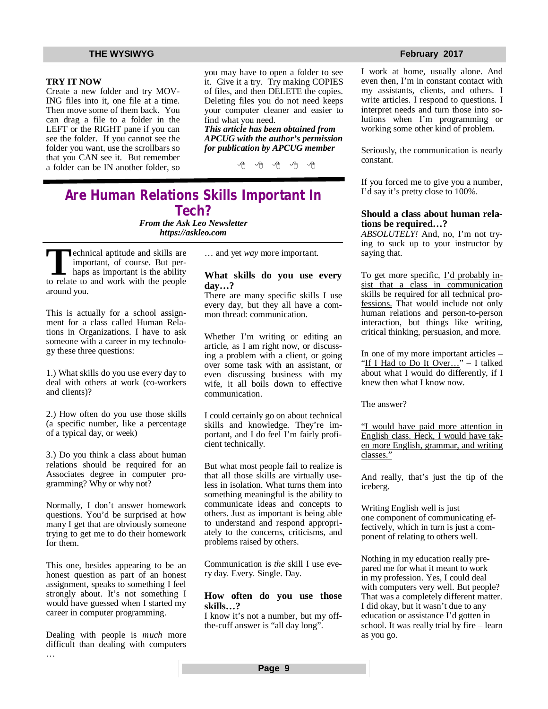### **TRY IT NOW**

Create a new folder and try MOV-ING files into it, one file at a time. Then move some of them back. You can drag a file to a folder in the LEFT or the RIGHT pane if you can see the folder. If you cannot see the folder you want, use the scrollbars so that you CAN see it. But remember a folder can be IN another folder, so

you may have to open a folder to see it. Give it a try. Try making COPIES of files, and then DELETE the copies. Deleting files you do not need keeps your computer cleaner and easier to find what you need. *This article has been obtained from* 

*APCUG with the author's permission for publication by APCUG member* 

有 伯 伯 伯

# **Are Human Relations Skills Important In Tech?**

*From the Ask Leo Newsletter <https://askleo.com>*

**T T**echnical aptitude and skills are<br>
important, of course. But per-<br>
haps as important is the ability<br>
to relate to and work with the people echnical aptitude and skills are important, of course. But perhaps as important is the ability around you.

This is actually for a school assignment for a class called Human Relations in Organizations. I have to ask someone with a career in my technology these three questions:

1.) What skills do you use every day to deal with others at work (co-workers and clients)?

2.) How often do you use those skills (a specific number, like a percentage of a typical day, or week)

3.) Do you think a class about human relations should be required for an Associates degree in computer programming? Why or why not?

Normally, I don't answer homework questions. You'd be surprised at how many I get that are obviously someone trying to get me to do their homework for them.

This one, besides appearing to be an honest question as part of an honest assignment, speaks to something I feel strongly about. It's not something I would have guessed when I started my career in computer programming.

Dealing with people is *much* more difficult than dealing with computers …

… and yet *way* more important.

### **What skills do you use every day…?**

There are many specific skills I use every day, but they all have a common thread: communication.

Whether I'm writing or editing an article, as I am right now, or discussing a problem with a client, or going over some task with an assistant, or even discussing business with my wife, it all boils down to effective communication.

I could certainly go on about technical skills and knowledge. They're important, and I do feel I'm fairly proficient technically.

But what most people fail to realize is that all those skills are virtually useless in isolation. What turns them into something meaningful is the ability to communicate ideas and concepts to others. Just as important is being able to understand and respond appropriately to the concerns, criticisms, and problems raised by others.

Communication is *the* skill I use every day. Every. Single. Day.

### **How often do you use those skills…?**

I know it's not a number, but my offthe-cuff answer is "all day long".

### **THE WYSIWYG FEBRUARY CONSULTER STATES AND THE WYSIWYG FEBRUARY 2017**

I work at home, usually alone. And even then, I'm in constant contact with my assistants, clients, and others. I write articles. I respond to questions. I interpret needs and turn those into solutions when I'm programming or working some other kind of problem.

Seriously, the communication is nearly constant.

If you forced me to give you a number, I'd say it's pretty close to 100%.

### **Should a class about human relations be required…?**

*ABSOLUTELY!* And, no, I'm not trying to suck up to your instructor by saying that.

To get more specific, I'd probably insist that a class in communication skills be required for all technical professions. That would include not only human relations and person-to-person interaction, but things like writing, critical thinking, persuasion, and more.

In one of my more important articles – "If I Had to Do It Over..." - I talked about what I would do differently, if I knew then what I know now.

The answer?

"I would have paid more attention in English class. Heck, I would have taken more English, grammar, and writing classes."

And really, that's just the tip of the iceberg.

Writing English well is just one component of communicating effectively, which in turn is just a component of relating to others well.

Nothing in my education really prepared me for what it meant to work in my profession. Yes, I could deal with computers very well. But people? That was a completely different matter. I did okay, but it wasn't due to any education or assistance I'd gotten in school. It was really trial by fire – learn as you go.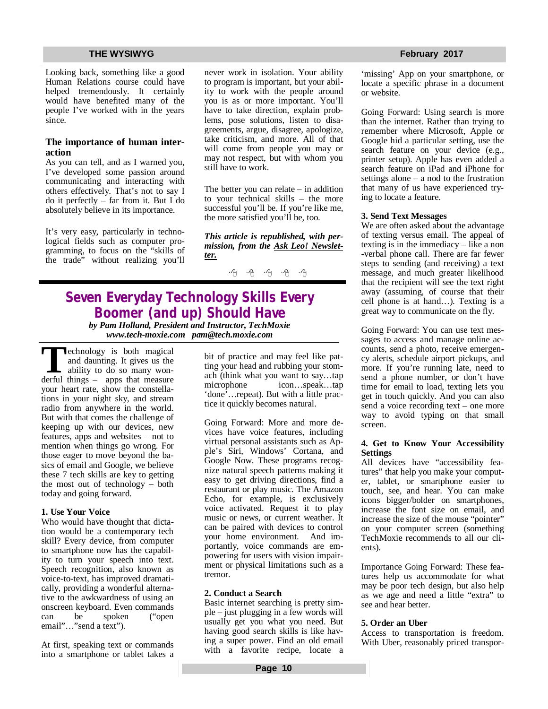Looking back, something like a good Human Relations course could have helped tremendously. It certainly would have benefited many of the people I've worked with in the years since.

### **The importance of human interaction**

As you can tell, and as I warned you, I've developed some passion around communicating and interacting with others effectively. That's not to say I do it perfectly – far from it. But I do absolutely believe in its importance.

It's very easy, particularly in technological fields such as computer programming, to focus on the "skills of the trade" without realizing you'll

never work in isolation. Your ability to program is important, but your ability to work with the people around you is as or more important. You'll have to take direction, explain problems, pose solutions, listen to disagreements, argue, disagree, apologize, take criticism, and more. All of that will come from people you may or may not respect, but with whom you still have to work.

The better you can relate – in addition to your technical skills – the more successful you'll be. If you're like me, the more satisfied you'll be, too.

*This article is republished, with permission, from the Ask Leo! Newsletter.* 

一个 一个 一个

## **Seven Everyday Technology Skills Every Boomer (and up) Should Have** *by Pam Holland, President and Instructor, TechMoxie*

*[www.tech-moxie.com](http://www.tech-moxie.com) [pam@tech.moxie.com](mailto:pam@tech.moxie.com)*

**T**derful things is both magical<br>
and daunting. It gives us the<br>
ability to do so many won-<br>
derful things – apps that measure echnology is both magical and daunting. It gives us the ability to do so many wonyour heart rate, show the constellations in your night sky, and stream radio from anywhere in the world. But with that comes the challenge of keeping up with our devices, new features, apps and websites – not to mention when things go wrong. For those eager to move beyond the basics of email and Google, we believe these 7 tech skills are key to getting the most out of technology – both today and going forward.

### **1. Use Your Voice**

Who would have thought that dictation would be a contemporary tech skill? Every device, from computer to smartphone now has the capability to turn your speech into text. Speech recognition, also known as voice-to-text, has improved dramatically, providing a wonderful alternative to the awkwardness of using an onscreen keyboard. Even commands can be spoken ("open email"…"send a text").

At first, speaking text or commands into a smartphone or tablet takes a bit of practice and may feel like patting your head and rubbing your stomach (think what you want to say…tap microphone icon…speak…tap 'done'…repeat). But with a little practice it quickly becomes natural.

Going Forward: More and more devices have voice features, including virtual personal assistants such as Apple's Siri, Windows' Cortana, and Google Now. These programs recognize natural speech patterns making it easy to get driving directions, find a restaurant or play music. The Amazon Echo, for example, is exclusively voice activated. Request it to play music or news, or current weather. It can be paired with devices to control your home environment. And importantly, voice commands are empowering for users with vision impairment or physical limitations such as a tremor.

### **2. Conduct a Search**

Basic internet searching is pretty simple – just plugging in a few words will usually get you what you need. But having good search skills is like having a super power. Find an old email with a favorite recipe, locate a

'missing' App on your smartphone, or locate a specific phrase in a document or website.

Going Forward: Using search is more than the internet. Rather than trying to remember where Microsoft, Apple or Google hid a particular setting, use the search feature on your device (e.g., printer setup). Apple has even added a search feature on iPad and iPhone for settings alone – a nod to the frustration that many of us have experienced trying to locate a feature.

### **3. Send Text Messages**

We are often asked about the advantage of texting versus email. The appeal of texting is in the immediacy – like a non -verbal phone call. There are far fewer steps to sending (and receiving) a text message, and much greater likelihood that the recipient will see the text right away (assuming, of course that their cell phone is at hand…). Texting is a great way to communicate on the fly.

Going Forward: You can use text messages to access and manage online accounts, send a photo, receive emergency alerts, schedule airport pickups, and more. If you're running late, need to send a phone number, or don't have time for email to load, texting lets you get in touch quickly. And you can also send a voice recording text – one more way to avoid typing on that small screen.

### **4. Get to Know Your Accessibility Settings**

All devices have "accessibility features" that help you make your computer, tablet, or smartphone easier to touch, see, and hear. You can make icons bigger/bolder on smartphones, increase the font size on email, and increase the size of the mouse "pointer" on your computer screen (something TechMoxie recommends to all our clients).

Importance Going Forward: These features help us accommodate for what may be poor tech design, but also help as we age and need a little "extra" to see and hear better.

### **5. Order an Uber**

Access to transportation is freedom. With Uber, reasonably priced transpor-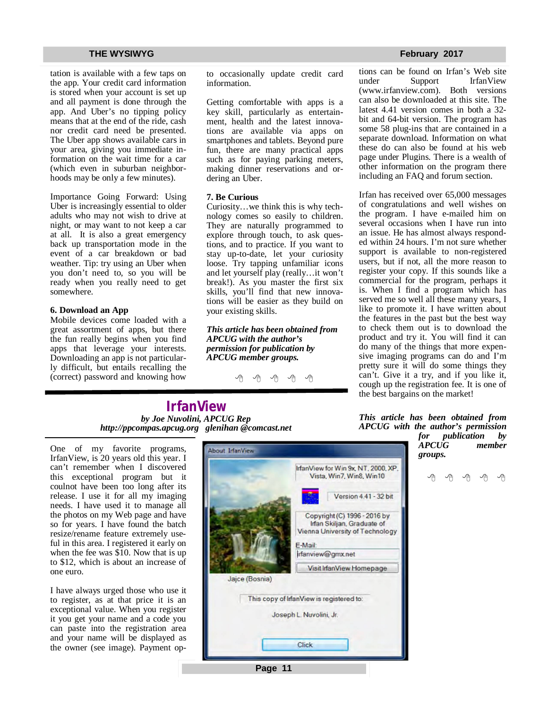tation is available with a few taps on the app. Your credit card information is stored when your account is set up and all payment is done through the app. And Uber's no tipping policy means that at the end of the ride, cash nor credit card need be presented. The Uber app shows available cars in your area, giving you immediate information on the wait time for a car (which even in suburban neighborhoods may be only a few minutes).

Importance Going Forward: Using Uber is increasingly essential to older adults who may not wish to drive at night, or may want to not keep a car at all. It is also a great emergency back up transportation mode in the event of a car breakdown or bad weather. Tip: try using an Uber when you don't need to, so you will be ready when you really need to get somewhere.

### **6. Download an App**

Mobile devices come loaded with a great assortment of apps, but there the fun really begins when you find apps that leverage your interests. Downloading an app is not particularly difficult, but entails recalling the (correct) password and knowing how to occasionally update credit card information.

Getting comfortable with apps is a key skill, particularly as entertainment, health and the latest innovations are available via apps on smartphones and tablets. Beyond pure fun, there are many practical apps such as for paying parking meters, making dinner reservations and ordering an Uber.

### **7. Be Curious**

Curiosity…we think this is why technology comes so easily to children. They are naturally programmed to explore through touch, to ask questions, and to practice. If you want to stay up-to-date, let your curiosity loose. Try tapping unfamiliar icons and let yourself play (really…it won't break!). As you master the first six skills, you'll find that new innovations will be easier as they build on your existing skills.

*This article has been obtained from APCUG with the author's permission for publication by APCUG member groups.*

A A A A A

tions can be found on Irfan's Web site<br>under Support IrfanView Support IrfanView<br>ew.com). Both versions  $(www.irfanview.com)$ . can also be downloaded at this site. The latest 4.41 version comes in both a 32 bit and 64-bit version. The program has some 58 plug-ins that are contained in a separate download. Information on what these do can also be found at his web page under Plugins. There is a wealth of other information on the program there including an FAQ and forum section.

Irfan has received over 65,000 messages of congratulations and well wishes on the program. I have e-mailed him on several occasions when I have run into an issue. He has almost always responded within 24 hours. I'm not sure whether support is available to non-registered users, but if not, all the more reason to register your copy. If this sounds like a commercial for the program, perhaps it is. When I find a program which has served me so well all these many years, I like to promote it. I have written about the features in the past but the best way to check them out is to download the product and try it. You will find it can do many of the things that more expensive imaging programs can do and I'm pretty sure it will do some things they can't. Give it a try, and if you like it, cough up the registration fee. It is one of the best bargains on the market!

**IrfanView** *by Joe Nuvolini, APCUG Rep <http://ppcompas.apcug.org> glenihan [@comcast.net](mailto:@comcast.net)*

One of my favorite programs, IrfanView, is 20 years old this year. I can't remember when I discovered this exceptional program but it coulnot have been too long after its release. I use it for all my imaging needs. I have used it to manage all the photos on my Web page and have so for years. I have found the batch resize/rename feature extremely useful in this area. I registered it early on when the fee was \$10. Now that is up to \$12, which is about an increase of one euro.

I have always urged those who use it to register, as at that price it is an exceptional value. When you register it you get your name and a code you can paste into the registration area and your name will be displayed as the owner (see image). Payment op-



**Page 11**

*This article has been obtained from APCUG with the author's permission for publication by* 

*APCUG member groups.*

e e e e e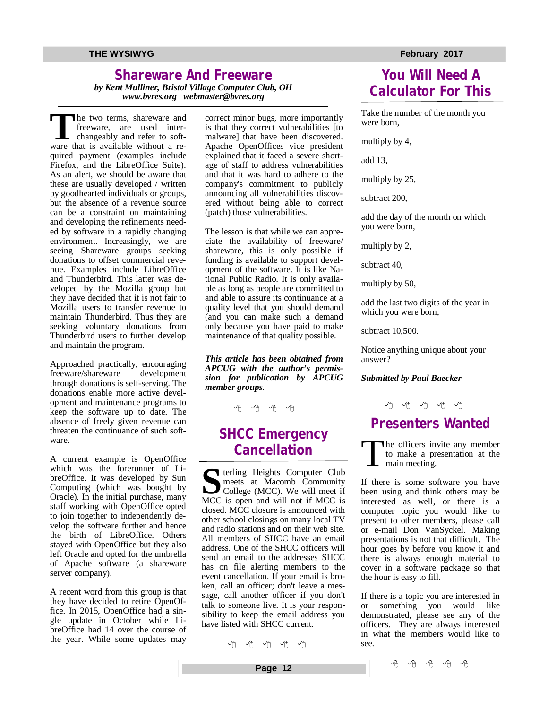# **Shareware And Freeware**

*by Kent Mulliner, Bristol Village Computer Club, OH [www.bvres.org](http://www.bvres.org) [webmaster@bvres.org](mailto:webmaster@bvres.org)*

The two terms, shareware and<br>
freeware, are used inter-<br>
changeably and refer to soft-<br>
ware that is available without a rehe two terms, shareware and freeware, are used interchangeably and refer to softquired payment (examples include Firefox, and the LibreOffice Suite). As an alert, we should be aware that these are usually developed / written by goodhearted individuals or groups, but the absence of a revenue source can be a constraint on maintaining and developing the refinements needed by software in a rapidly changing environment. Increasingly, we are seeing Shareware groups seeking donations to offset commercial revenue. Examples include LibreOffice and Thunderbird. This latter was developed by the Mozilla group but they have decided that it is not fair to Mozilla users to transfer revenue to maintain Thunderbird. Thus they are seeking voluntary donations from Thunderbird users to further develop and maintain the program.

Approached practically, encouraging<br>freeware/shareware development freeware/shareware through donations is self-serving. The donations enable more active development and maintenance programs to keep the software up to date. The absence of freely given revenue can threaten the continuance of such software.

A current example is OpenOffice which was the forerunner of LibreOffice. It was developed by Sun Computing (which was bought by Oracle). In the initial purchase, many staff working with OpenOffice opted to join together to independently develop the software further and hence the birth of LibreOffice. Others stayed with OpenOffice but they also left Oracle and opted for the umbrella of Apache software (a shareware server company).

A recent word from this group is that they have decided to retire OpenOffice. In 2015, OpenOffice had a single update in October while LibreOffice had 14 over the course of the year. While some updates may

correct minor bugs, more importantly is that they correct vulnerabilities [to malware] that have been discovered. Apache OpenOffices vice president explained that it faced a severe shortage of staff to address vulnerabilities and that it was hard to adhere to the company's commitment to publicly announcing all vulnerabilities discovered without being able to correct (patch) those vulnerabilities.

The lesson is that while we can appreciate the availability of freeware/ shareware, this is only possible if funding is available to support development of the software. It is like National Public Radio. It is only available as long as people are committed to and able to assure its continuance at a quality level that you should demand (and you can make such a demand only because you have paid to make maintenance of that quality possible.

*This article has been obtained from APCUG with the author's permission for publication by APCUG member groups.*

4 4 4 4 5 4 5 4 5 4 5

## **SHCC Emergency Cancellation**

**S** terling Heights Computer Club meets at Macomb Community College (MCC). We will meet if MCC is open and will not if MCC is closed. MCC closure is announced with other school closings on many local TV and radio stations and on their web site. All members of SHCC have an email address. One of the SHCC officers will send an email to the addresses SHCC has on file alerting members to the event cancellation. If your email is broken, call an officer; don't leave a message, call another officer if you don't talk to someone live. It is your responsibility to keep the email address you have listed with SHCC current.

A A A A A

### **THE WYSIWYG FEBRUARY CONSULTER STATES AND THE WYSIWYG FEBRUARY 2017**

# **You Will Need A Calculator For This**

Take the number of the month you were born,

multiply by 4,

add 13,

multiply by 25,

subtract 200,

add the day of the month on which you were born,

multiply by 2,

subtract 40,

multiply by 50,

add the last two digits of the year in which you were born,

subtract 10,500.

Notice anything unique about your answer?

### *Submitted by Paul Baecker*

# **Presenters Wanted**

T he officers invite any member to make a presentation at the main meeting.

If there is some software you have been using and think others may be interested as well, or there is a computer topic you would like to present to other members, please call or e-mail Don VanSyckel. Making presentations is not that difficult. The hour goes by before you know it and there is always enough material to cover in a software package so that the hour is easy to fill.

If there is a topic you are interested in or something you would like demonstrated, please see any of the officers. They are always interested in what the members would like to see.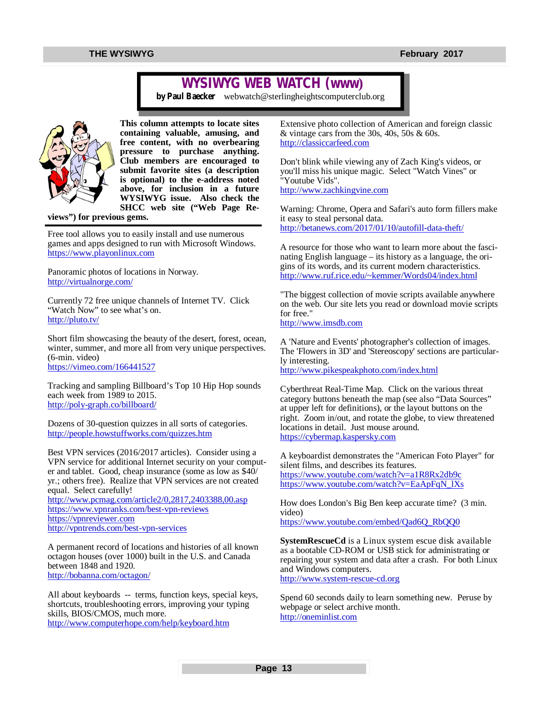# **WYSIWYG WEB WATCH (www)**

*by Paul Baecker* [webwatch@sterlingheightscomputerclub.org](mailto:webwatch@sterlingheightscomputerclub.org)



**This column attempts to locate sites containing valuable, amusing, and free content, with no overbearing pressure to purchase anything. Club members are encouraged to submit favorite sites (a description is optional) to the e-address noted above, for inclusion in a future WYSIWYG issue. Also check the SHCC web site ("Web Page Re-**

**views") for previous gems.** 

Free tool allows you to easily install and use numerous games and apps designed to run with Microsoft Windows. <https://www.playonlinux.com>

Panoramic photos of locations in Norway. <http://virtualnorge.com/>

Currently 72 free unique channels of Internet TV. Click "Watch Now" to see what's on. <http://pluto.tv/>

Short film showcasing the beauty of the desert, forest, ocean, winter, summer, and more all from very unique perspectives. (6-min. video) <https://vimeo.com/166441527>

Tracking and sampling Billboard's Top 10 Hip Hop sounds each week from 1989 to 2015. <http://poly-graph.co/billboard/>

Dozens of 30-question quizzes in all sorts of categories. <http://people.howstuffworks.com/quizzes.htm>

Best VPN services (2016/2017 articles). Consider using a VPN service for additional Internet security on your computer and tablet. Good, cheap insurance (some as low as \$40/ yr.; others free). Realize that VPN services are not created equal. Select carefully! <http://www.pcmag.com/article2/0,2817,2403388,00.asp> <https://www.vpnranks.com/best-vpn-reviews>

<https://vpnreviewer.com> <http://vpntrends.com/best-vpn-services>

A permanent record of locations and histories of all known octagon houses (over 1000) built in the U.S. and Canada between 1848 and 1920. <http://bobanna.com/octagon/>

All about keyboards -- terms, function keys, special keys, shortcuts, troubleshooting errors, improving your typing skills, BIOS/CMOS, much more. <http://www.computerhope.com/help/keyboard.htm>

Extensive photo collection of American and foreign classic & vintage cars from the 30s, 40s, 50s & 60s. <http://classiccarfeed.com>

Don't blink while viewing any of Zach King's videos, or you'll miss his unique magic. Select "Watch Vines" or "Youtube Vids". <http://www.zachkingvine.com>

Warning: Chrome, Opera and Safari's auto form fillers make it easy to steal personal data. <http://betanews.com/2017/01/10/autofill-data-theft/>

A resource for those who want to learn more about the fascinating English language – its history as a language, the origins of its words, and its current modern characteristics. <http://www.ruf.rice.edu/~kemmer/Words04/index.html>

"The biggest collection of movie scripts available anywhere on the web. Our site lets you read or download movie scripts for free." <http://www.imsdb.com>

A 'Nature and Events' photographer's collection of images. The 'Flowers in 3D' and 'Stereoscopy' sections are particularly interesting.

<http://www.pikespeakphoto.com/index.html>

Cyberthreat Real-Time Map. Click on the various threat category buttons beneath the map (see also "Data Sources" at upper left for definitions), or the layout buttons on the right. Zoom in/out, and rotate the globe, to view threatened locations in detail. Just mouse around. <https://cybermap.kaspersky.com>

A keyboardist demonstrates the "American Foto Player" for silent films, and describes its features. <https://www.youtube.com/watch?v=a1R8Rx2db9c> [https://www.youtube.com/watch?v=EaApFqN\\_lXs](https://www.youtube.com/watch?v=EaApFqN_lXs)

How does London's Big Ben keep accurate time? (3 min. video)

[https://www.youtube.com/embed/Qad6Q\\_RbQQ0](https://www.youtube.com/embed/Qad6Q_RbQQ0)

**SystemRescueCd** is a Linux system escue disk available as a bootable CD-ROM or USB stick for administrating or repairing your system and data after a crash. For both Linux and Windows computers.

<http://www.system-rescue-cd.org>

Spend 60 seconds daily to learn something new. Peruse by webpage or select archive month. <http://oneminlist.com>